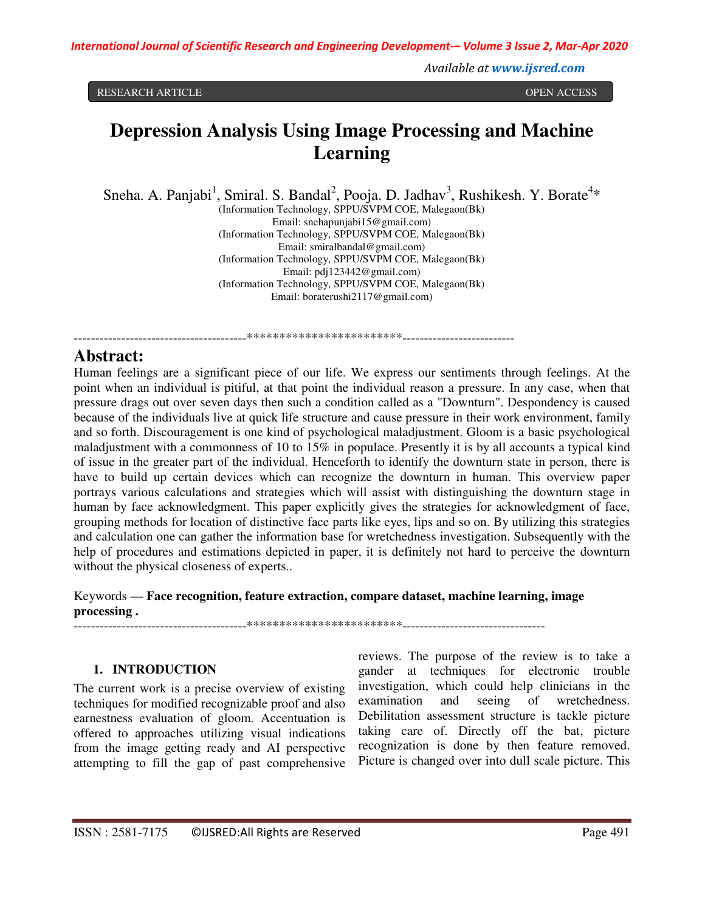*International Journal of Scientific Research and Engineering Development-– Volume 3 Issue 2, Mar-Apr 2020*

*Available at www.ijsred.com*

RESEARCH ARTICLE **OPEN ACCESS** 

# **Depression Analysis Using Image Processing and Machine Learning**

Sneha. A. Panjabi<sup>1</sup>, Smiral. S. Bandal<sup>2</sup>, Pooja. D. Jadhav<sup>3</sup>, Rushikesh. Y. Borate<sup>4\*</sup>

(Information Technology, SPPU/SVPM COE, Malegaon(Bk) Email: snehapunjabi15@gmail.com) (Information Technology, SPPU/SVPM COE, Malegaon(Bk) Email: smiralbandal@gmail.com) (Information Technology, SPPU/SVPM COE, Malegaon(Bk) Email: pdj123442@gmail.com) (Information Technology, SPPU/SVPM COE, Malegaon(Bk) Email: boraterushi2117@gmail.com)

----------------------------------------\*\*\*\*\*\*\*\*\*\*\*\*\*\*\*\*\*\*\*\*\*\*\*\*--------------------------

# **Abstract:**

Human feelings are a significant piece of our life. We express our sentiments through feelings. At the point when an individual is pitiful, at that point the individual reason a pressure. In any case, when that pressure drags out over seven days then such a condition called as a "Downturn". Despondency is caused because of the individuals live at quick life structure and cause pressure in their work environment, family and so forth. Discouragement is one kind of psychological maladjustment. Gloom is a basic psychological maladjustment with a commonness of 10 to 15% in populace. Presently it is by all accounts a typical kind of issue in the greater part of the individual. Henceforth to identify the downturn state in person, there is have to build up certain devices which can recognize the downturn in human. This overview paper portrays various calculations and strategies which will assist with distinguishing the downturn stage in human by face acknowledgment. This paper explicitly gives the strategies for acknowledgment of face, grouping methods for location of distinctive face parts like eyes, lips and so on. By utilizing this strategies and calculation one can gather the information base for wretchedness investigation. Subsequently with the help of procedures and estimations depicted in paper, it is definitely not hard to perceive the downturn without the physical closeness of experts..

Keywords — **Face recognition, feature extraction, compare dataset, machine learning, image processing .** 

----------------------------------------\*\*\*\*\*\*\*\*\*\*\*\*\*\*\*\*\*\*\*\*\*\*\*\*---------------------------------

#### **1. INTRODUCTION**

The current work is a precise overview of existing techniques for modified recognizable proof and also earnestness evaluation of gloom. Accentuation is offered to approaches utilizing visual indications from the image getting ready and AI perspective attempting to fill the gap of past comprehensive

reviews. The purpose of the review is to take a gander at techniques for electronic trouble investigation, which could help clinicians in the examination and seeing of wretchedness. Debilitation assessment structure is tackle picture taking care of. Directly off the bat, picture recognization is done by then feature removed. Picture is changed over into dull scale picture. This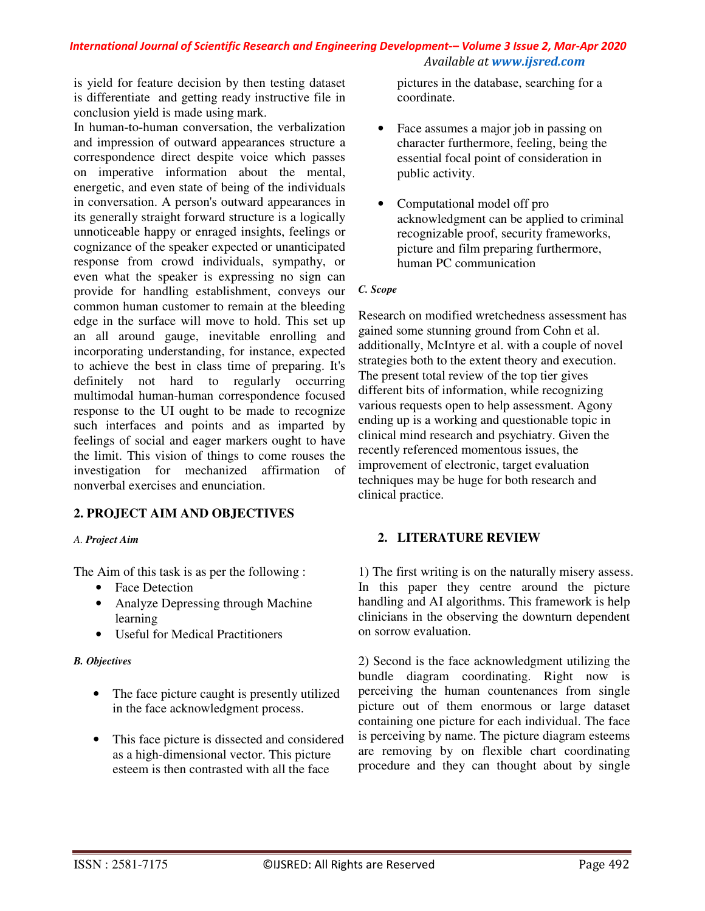#### *International Journal of Scientific Research and Engineering Development-– Volume 3 Issue 2, Mar-Apr 2020 Available at www.ijsred.com*

is yield for feature decision by then testing dataset is differentiate and getting ready instructive file in conclusion yield is made using mark.

In human-to-human conversation, the verbalization and impression of outward appearances structure a correspondence direct despite voice which passes on imperative information about the mental, energetic, and even state of being of the individuals in conversation. A person's outward appearances in its generally straight forward structure is a logically unnoticeable happy or enraged insights, feelings or cognizance of the speaker expected or unanticipated response from crowd individuals, sympathy, or even what the speaker is expressing no sign can provide for handling establishment, conveys our common human customer to remain at the bleeding edge in the surface will move to hold. This set up an all around gauge, inevitable enrolling and incorporating understanding, for instance, expected to achieve the best in class time of preparing. It's definitely not hard to regularly occurring multimodal human-human correspondence focused response to the UI ought to be made to recognize such interfaces and points and as imparted by feelings of social and eager markers ought to have the limit. This vision of things to come rouses the investigation for mechanized affirmation of nonverbal exercises and enunciation.

# **2. PROJECT AIM AND OBJECTIVES**

#### *A. Project Aim*

The Aim of this task is as per the following :

- Face Detection
- Analyze Depressing through Machine learning
- Useful for Medical Practitioners

#### *B. Objectives*

- The face picture caught is presently utilized in the face acknowledgment process.
- This face picture is dissected and considered as a high-dimensional vector. This picture esteem is then contrasted with all the face

pictures in the database, searching for a coordinate.

- Face assumes a major job in passing on character furthermore, feeling, being the essential focal point of consideration in public activity.
- Computational model off pro acknowledgment can be applied to criminal recognizable proof, security frameworks, picture and film preparing furthermore, human PC communication

#### *C. Scope*

Research on modified wretchedness assessment has gained some stunning ground from Cohn et al. additionally, McIntyre et al. with a couple of novel strategies both to the extent theory and execution. The present total review of the top tier gives different bits of information, while recognizing various requests open to help assessment. Agony ending up is a working and questionable topic in clinical mind research and psychiatry. Given the recently referenced momentous issues, the improvement of electronic, target evaluation techniques may be huge for both research and clinical practice.

# **2. LITERATURE REVIEW**

1) The first writing is on the naturally misery assess. In this paper they centre around the picture handling and AI algorithms. This framework is help clinicians in the observing the downturn dependent on sorrow evaluation.

2) Second is the face acknowledgment utilizing the bundle diagram coordinating. Right now is perceiving the human countenances from single picture out of them enormous or large dataset containing one picture for each individual. The face is perceiving by name. The picture diagram esteems are removing by on flexible chart coordinating procedure and they can thought about by single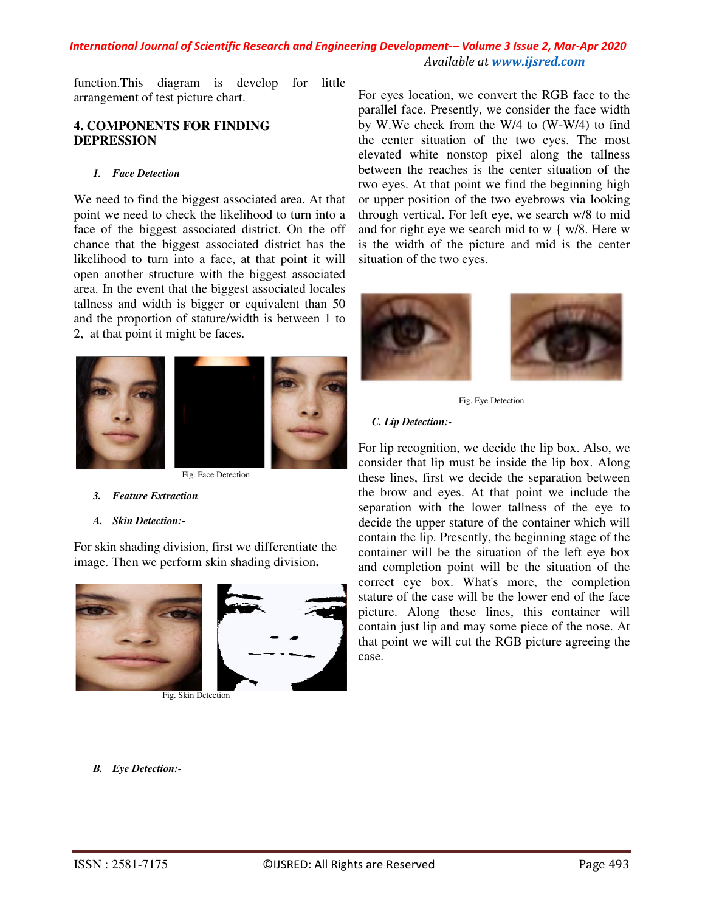# *International Journal of Scientific Research and Engineering Development-– Volume 3 Issue 2, Mar-Apr 2020 Available at www.ijsred.com*

function.This diagram is develop for little arrangement of test picture chart.

# **4. COMPONENTS FOR FINDING DEPRESSION**

#### *1. Face Detection*

We need to find the biggest associated area. At that point we need to check the likelihood to turn into a face of the biggest associated district. On the off chance that the biggest associated district has the likelihood to turn into a face, at that point it will open another structure with the biggest associated area. In the event that the biggest associated locales tallness and width is bigger or equivalent than 50 and the proportion of stature/width is between 1 to 2, at that point it might be faces.



Fig. Face Detection

- *3. Feature Extraction*
- *A. Skin Detection:-*

For skin shading division, first we differentiate the image. Then we perform skin shading division**.** 



Fig. Skin Detection

For eyes location, we convert the RGB face to the parallel face. Presently, we consider the face width by W.We check from the W/4 to (W-W/4) to find the center situation of the two eyes. The most elevated white nonstop pixel along the tallness between the reaches is the center situation of the two eyes. At that point we find the beginning high or upper position of the two eyebrows via looking through vertical. For left eye, we search w/8 to mid and for right eye we search mid to w { w/8. Here w is the width of the picture and mid is the center situation of the two eyes.





Fig. Eye Detection

#### *C. Lip Detection:-*

For lip recognition, we decide the lip box. Also, we consider that lip must be inside the lip box. Along these lines, first we decide the separation between the brow and eyes. At that point we include the separation with the lower tallness of the eye to decide the upper stature of the container which will contain the lip. Presently, the beginning stage of the container will be the situation of the left eye box and completion point will be the situation of the correct eye box. What's more, the completion stature of the case will be the lower end of the face picture. Along these lines, this container will contain just lip and may some piece of the nose. At that point we will cut the RGB picture agreeing the case.

*B. Eye Detection:-*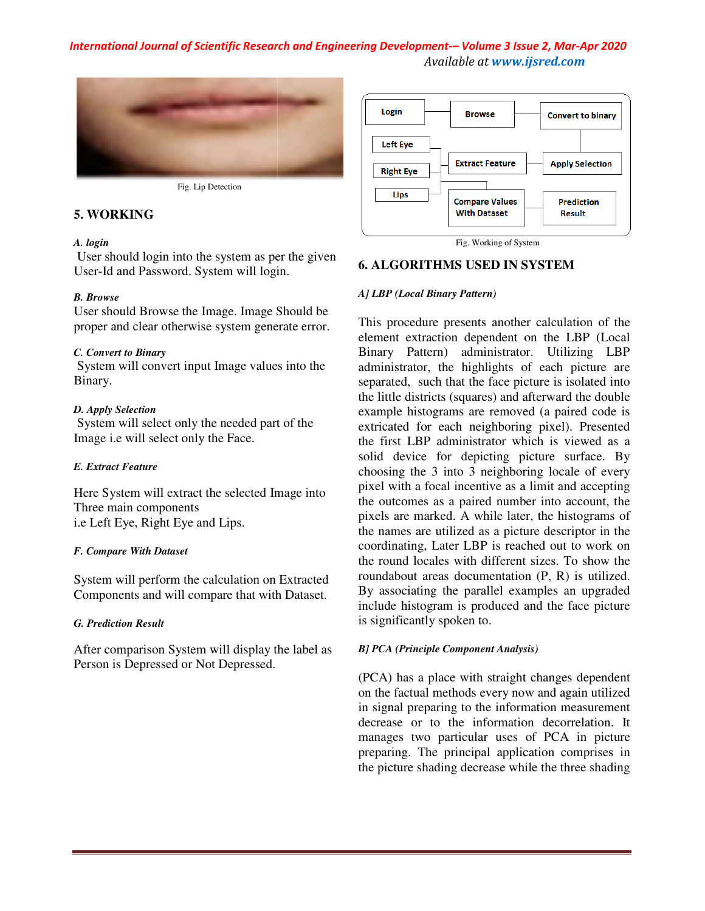# *International Journal of Scientific Research and Engineering Development Development-– Volume 3 Issue 2 2, Mar-Apr 2020 Available at www.ijsred.com*



Fig. Lip Detection

# **5. WORKING**

#### *A. login*

User should login into the system as per the given User-Id and Password. System will login.

#### *B. Browse*

User should Browse the Image. Image Should be proper and clear otherwise system generate error.

#### *C. Convert to Binary*

System will convert input Image values into the Binary.

#### *D. Apply Selection*

 System will select only the needed part of the Image i.e will select only the Face.

#### *E. Extract Feature*

Here System will extract the selected Image into Three main components i.e Left Eye, Right Eye and Lips. Id and Password. System will login.<br>
Weschould Browse the Image. Image Should be<br>
should Browse the Image. Image Should be<br>
r and clear otherwise system generate error.<br>
We set the mull convert input Image values into the<br>

#### *F. Compare With Dataset*

System will perform the calculation on Extracted Components and will compare that with Dataset.

# *G. Prediction Result*

After comparison System will display the label as Person is Depressed or Not Depressed.



Fig. Working of System

## **6. ALGORITHMS USED IN SYSTEM**

#### *A] LBP (Local Binary Pattern)*

Image will on the label Fig. Working of System This procedure presents another calculation of the element extraction dependent on the LBP (Local Binary Pattern) administrator. Utilizing LBP administrator, the highlights of each picture are separated, such that the face picture is isolated into the little districts (squares) and afterward the double example histograms are removed (a paired code is extricated for each neighboring pixel). Presented the first LBP administrator which is viewed as a solid device for depicting picture surface. By choosing the 3 into 3 neighboring locale of every pixel with a focal incentive as a limit and accepting the outcomes as a paired number into account, the pixels are marked. A while later, the histograms of the names are utilized as a picture descriptor in the coordinating, Later LBP is reached out to work on the round locales with different sizes. To show the roundabout areas documentation (P, R) is utilized. By associating the parallel examples an upgraded include histogram is produced and the face picture is significantly spoken to. This procedure presents another calculation of the element extraction dependent on the LBP (Local Binary Pattern) administrator. Utilizing LBP administrator, the highlights of each picture are separated, such that the face

#### *B] PCA (Principle Component Analysis) PCA*

(PCA) has a place with straight changes dependent on the factual methods every now and again utilized in signal preparing to the information measurement decrease or to the information decorrelation. It manages two particular uses of PCA in picture preparing. The principal application comprises in the picture shading decrease while the three shading (PCA) has a place with straight changes dependent<br>on the factual methods every now and again utilized<br>in signal preparing to the information measurement<br>decrease or to the information decorrelation. It<br>manages two particul